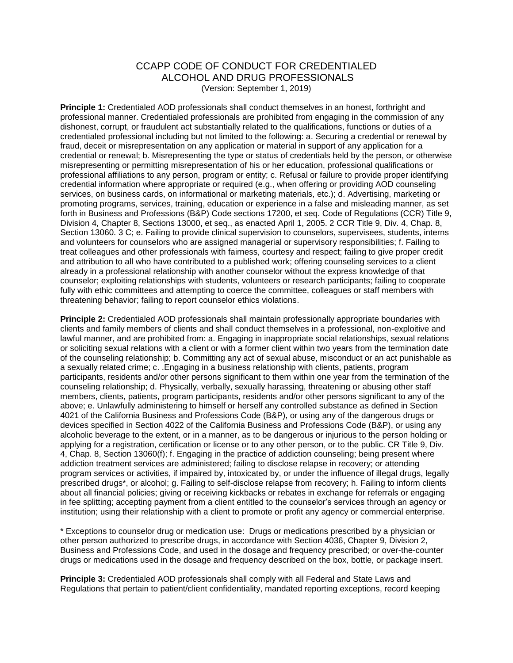## CCAPP CODE OF CONDUCT FOR CREDENTIALED ALCOHOL AND DRUG PROFESSIONALS (Version: September 1, 2019)

**Principle 1:** Credentialed AOD professionals shall conduct themselves in an honest, forthright and professional manner. Credentialed professionals are prohibited from engaging in the commission of any dishonest, corrupt, or fraudulent act substantially related to the qualifications, functions or duties of a credentialed professional including but not limited to the following: a. Securing a credential or renewal by fraud, deceit or misrepresentation on any application or material in support of any application for a credential or renewal; b. Misrepresenting the type or status of credentials held by the person, or otherwise misrepresenting or permitting misrepresentation of his or her education, professional qualifications or professional affiliations to any person, program or entity; c. Refusal or failure to provide proper identifying credential information where appropriate or required (e.g., when offering or providing AOD counseling services, on business cards, on informational or marketing materials, etc.); d. Advertising, marketing or promoting programs, services, training, education or experience in a false and misleading manner, as set forth in Business and Professions (B&P) Code sections 17200, et seq. Code of Regulations (CCR) Title 9, Division 4, Chapter 8, Sections 13000, et seq., as enacted April 1, 2005. 2 CCR Title 9, Div. 4, Chap. 8, Section 13060. 3 C; e. Failing to provide clinical supervision to counselors, supervisees, students, interns and volunteers for counselors who are assigned managerial or supervisory responsibilities; f. Failing to treat colleagues and other professionals with fairness, courtesy and respect; failing to give proper credit and attribution to all who have contributed to a published work; offering counseling services to a client already in a professional relationship with another counselor without the express knowledge of that counselor; exploiting relationships with students, volunteers or research participants; failing to cooperate fully with ethic committees and attempting to coerce the committee, colleagues or staff members with threatening behavior; failing to report counselor ethics violations.

**Principle 2:** Credentialed AOD professionals shall maintain professionally appropriate boundaries with clients and family members of clients and shall conduct themselves in a professional, non-exploitive and lawful manner, and are prohibited from: a. Engaging in inappropriate social relationships, sexual relations or soliciting sexual relations with a client or with a former client within two years from the termination date of the counseling relationship; b. Committing any act of sexual abuse, misconduct or an act punishable as a sexually related crime; c. .Engaging in a business relationship with clients, patients, program participants, residents and/or other persons significant to them within one year from the termination of the counseling relationship; d. Physically, verbally, sexually harassing, threatening or abusing other staff members, clients, patients, program participants, residents and/or other persons significant to any of the above; e. Unlawfully administering to himself or herself any controlled substance as defined in Section 4021 of the California Business and Professions Code (B&P), or using any of the dangerous drugs or devices specified in Section 4022 of the California Business and Professions Code (B&P), or using any alcoholic beverage to the extent, or in a manner, as to be dangerous or injurious to the person holding or applying for a registration, certification or license or to any other person, or to the public. CR Title 9, Div. 4, Chap. 8, Section 13060(f); f. Engaging in the practice of addiction counseling; being present where addiction treatment services are administered; failing to disclose relapse in recovery; or attending program services or activities, if impaired by, intoxicated by, or under the influence of illegal drugs, legally prescribed drugs\*, or alcohol; g. Failing to self-disclose relapse from recovery; h. Failing to inform clients about all financial policies; giving or receiving kickbacks or rebates in exchange for referrals or engaging in fee splitting; accepting payment from a client entitled to the counselor's services through an agency or institution; using their relationship with a client to promote or profit any agency or commercial enterprise.

\* Exceptions to counselor drug or medication use: Drugs or medications prescribed by a physician or other person authorized to prescribe drugs, in accordance with Section 4036, Chapter 9, Division 2, Business and Professions Code, and used in the dosage and frequency prescribed; or over-the-counter drugs or medications used in the dosage and frequency described on the box, bottle, or package insert.

**Principle 3:** Credentialed AOD professionals shall comply with all Federal and State Laws and Regulations that pertain to patient/client confidentiality, mandated reporting exceptions, record keeping